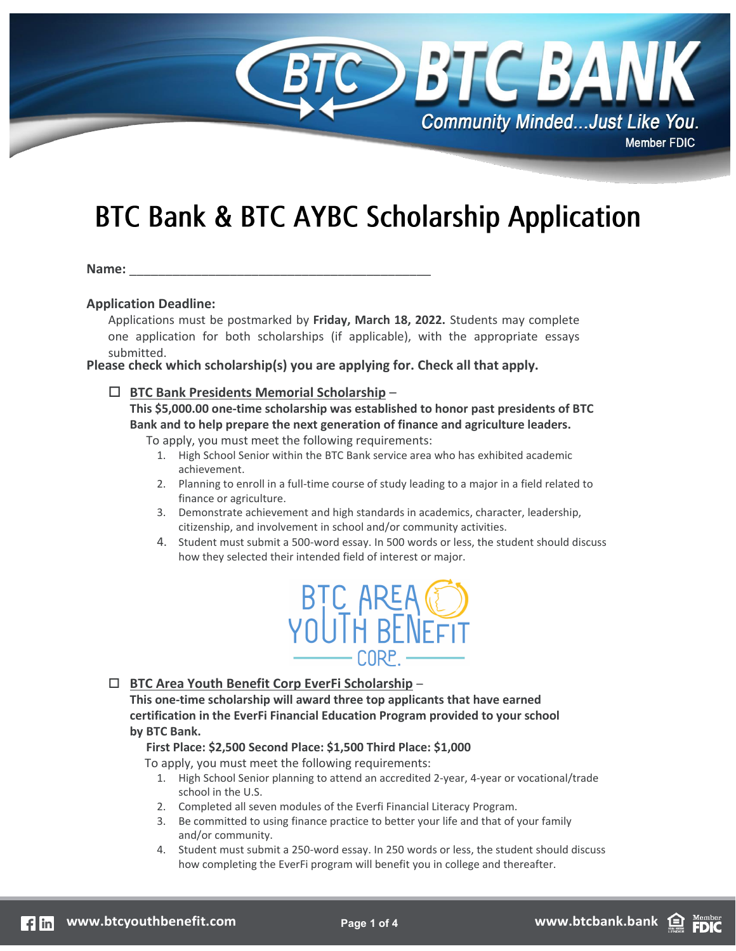

# **BTC Bank & BTC AYBC Scholarship Application**

Name:

#### **Application Deadline:**

Applications must be postmarked by **Friday, March 18, 2022.** Students may complete one application for both scholarships (if applicable), with the appropriate essays submitted.

**Please check which scholarship(s) you are applying for. Check all that apply.** 

#### **BTC Bank Presidents Memorial Scholarship** –

**This \$5,000.00 one-time scholarship was established to honor past presidents of BTC Bank and to help prepare the next generation of finance and agriculture leaders.**

To apply, you must meet the following requirements:

- 1. High School Senior within the BTC Bank service area who has exhibited academic achievement.
- 2. Planning to enroll in a full-time course of study leading to a major in a field related to finance or agriculture.
- 3. Demonstrate achievement and high standards in academics, character, leadership, citizenship, and involvement in school and/or community activities.
- 4. Student must submit a 500-word essay. In 500 words or less, the student should discuss how they selected their intended field of interest or major.



#### **BTC Area Youth Benefit Corp EverFi Scholarship** –

**This one-time scholarship will award three top applicants that have earned certification in the EverFi Financial Education Program provided to your school by BTC Bank.**

#### **First Place: \$2,500 Second Place: \$1,500 Third Place: \$1,000**

To apply, you must meet the following requirements:

- 1. High School Senior planning to attend an accredited 2-year, 4-year or vocational/trade school in the U.S.
- 2. Completed all seven modules of the Everfi Financial Literacy Program.
- 3. Be committed to using finance practice to better your life and that of your family and/or community.
- 4. Student must submit a 250-word essay. In 250 words or less, the student should discuss how completing the EverFi program will benefit you in college and thereafter.

**FDIC**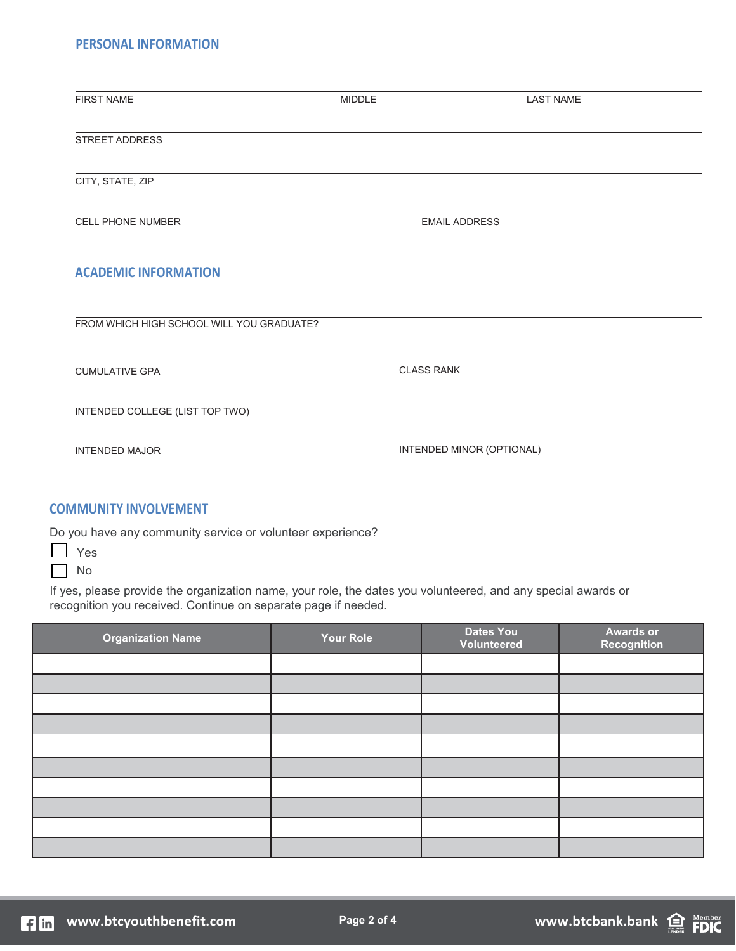# **PERSONAL INFORMATION**

| <b>FIRST NAME</b>                         | <b>MIDDLE</b>                    | <b>LAST NAME</b> |
|-------------------------------------------|----------------------------------|------------------|
|                                           |                                  |                  |
| <b>STREET ADDRESS</b>                     |                                  |                  |
|                                           |                                  |                  |
|                                           |                                  |                  |
| CITY, STATE, ZIP                          |                                  |                  |
|                                           |                                  |                  |
| CELL PHONE NUMBER                         | <b>EMAIL ADDRESS</b>             |                  |
|                                           |                                  |                  |
|                                           |                                  |                  |
| <b>ACADEMIC INFORMATION</b>               |                                  |                  |
|                                           |                                  |                  |
|                                           |                                  |                  |
| FROM WHICH HIGH SCHOOL WILL YOU GRADUATE? |                                  |                  |
|                                           |                                  |                  |
| <b>CUMULATIVE GPA</b>                     | <b>CLASS RANK</b>                |                  |
|                                           |                                  |                  |
| <b>INTENDED COLLEGE (LIST TOP TWO)</b>    |                                  |                  |
|                                           |                                  |                  |
|                                           |                                  |                  |
| <b>INTENDED MAJOR</b>                     | <b>INTENDED MINOR (OPTIONAL)</b> |                  |
|                                           |                                  |                  |
|                                           |                                  |                  |

# **COMMUNITY INVOLVEMENT**

Do you have any community service or volunteer experience?

**N** Yes

 $\Box$  No

If yes, please provide the organization name, your role, the dates you volunteered, and any special awards or recognition you received. Continue on separate page if needed.

| <b>Organization Name</b> | Your Role | <b>Dates You</b><br>Volunteered | <b>Awards or</b><br><b>Recognition</b> |
|--------------------------|-----------|---------------------------------|----------------------------------------|
|                          |           |                                 |                                        |
|                          |           |                                 |                                        |
|                          |           |                                 |                                        |
|                          |           |                                 |                                        |
|                          |           |                                 |                                        |
|                          |           |                                 |                                        |
|                          |           |                                 |                                        |
|                          |           |                                 |                                        |
|                          |           |                                 |                                        |
|                          |           |                                 |                                        |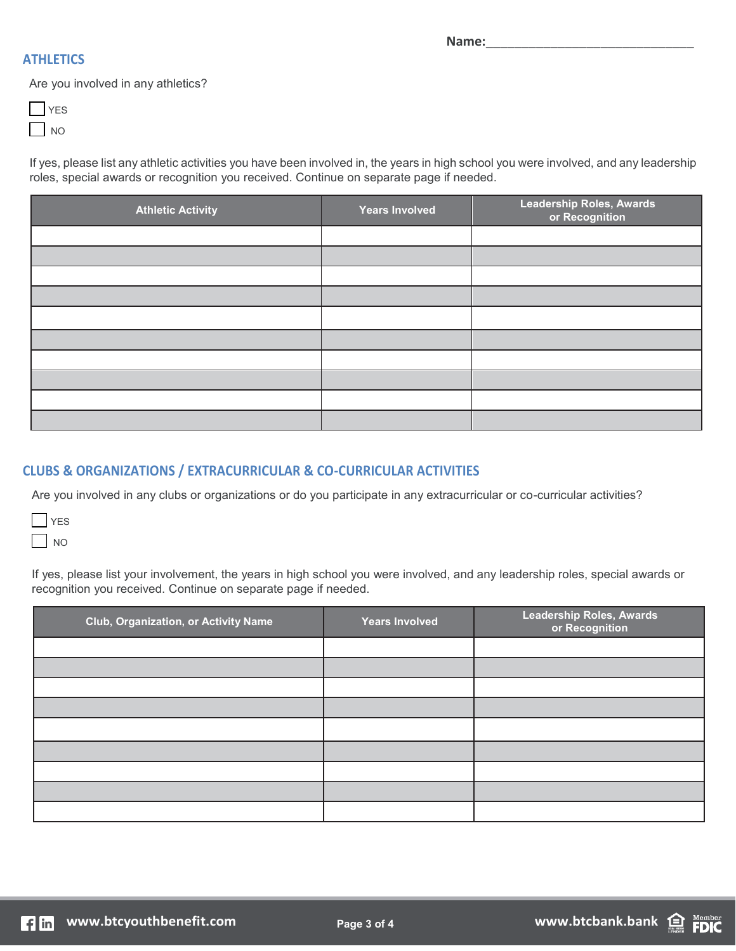# **ATHLETICS**

**Name:**\_\_\_\_\_\_\_\_\_\_\_\_\_\_\_\_\_\_\_\_\_\_\_\_\_\_\_\_\_

Are you involved in any athletics?

If yes, please list any athletic activities you have been involved in, the years in high school you were involved, and any leadership roles, special awards or recognition you received. Continue on separate page if needed.

| <b>Athletic Activity</b> | <b>Years Involved</b> | <b>Leadership Roles, Awards</b><br>or Recognition |
|--------------------------|-----------------------|---------------------------------------------------|
|                          |                       |                                                   |
|                          |                       |                                                   |
|                          |                       |                                                   |
|                          |                       |                                                   |
|                          |                       |                                                   |
|                          |                       |                                                   |
|                          |                       |                                                   |
|                          |                       |                                                   |
|                          |                       |                                                   |
|                          |                       |                                                   |

# **CLUBS & ORGANIZATIONS / EXTRACURRICULAR & CO-CURRICULAR ACTIVITIES**

Are you involved in any clubs or organizations or do you participate in any extracurricular or co-curricular activities?

| I |  |
|---|--|
| I |  |

If yes, please list your involvement, the years in high school you were involved, and any leadership roles, special awards or recognition you received. Continue on separate page if needed.

| <b>Club, Organization, or Activity Name</b> | <b>Years Involved</b> | <b>Leadership Roles, Awards</b><br>or Recognition |
|---------------------------------------------|-----------------------|---------------------------------------------------|
|                                             |                       |                                                   |
|                                             |                       |                                                   |
|                                             |                       |                                                   |
|                                             |                       |                                                   |
|                                             |                       |                                                   |
|                                             |                       |                                                   |
|                                             |                       |                                                   |
|                                             |                       |                                                   |
|                                             |                       |                                                   |